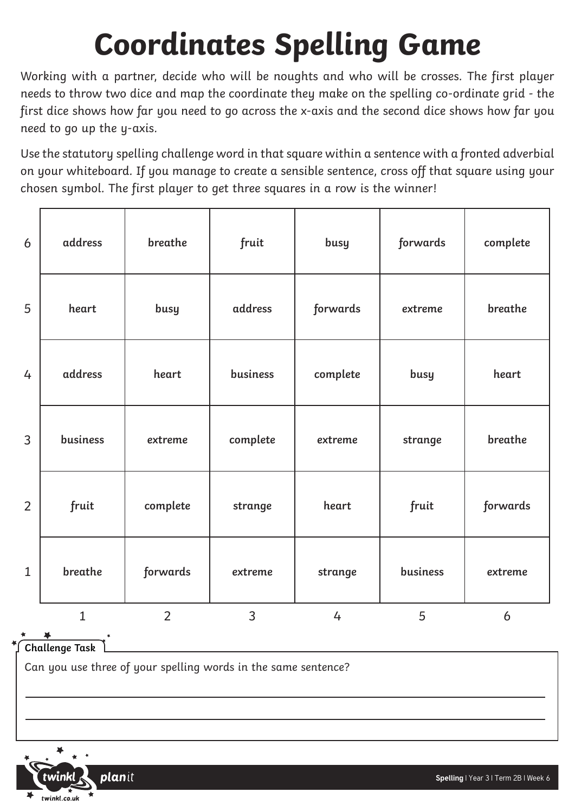## **Coordinates Spelling Game**

Working with a partner, decide who will be noughts and who will be crosses. The first player needs to throw two dice and map the coordinate they make on the spelling co-ordinate grid - the first dice shows how far you need to go across the x-axis and the second dice shows how far you need to go up the y-axis.

Use the statutory spelling challenge word in that square within a sentence with a fronted adverbial on your whiteboard. If you manage to create a sensible sentence, cross off that square using your chosen symbol. The first player to get three squares in a row is the winner!

| 6              | address      | breathe        | fruit          | busy           | forwards | complete |
|----------------|--------------|----------------|----------------|----------------|----------|----------|
| 5              | heart        | busy           | address        | forwards       | extreme  | breathe  |
| 4              | address      | heart          | business       | complete       | busy     | heart    |
| 3              | business     | extreme        | complete       | extreme        | strange  | breathe  |
| $\overline{2}$ | fruit        | complete       | strange        | heart          | fruit    | forwards |
| $\mathbf{1}$   | breathe      | forwards       | extreme        | strange        | business | extreme  |
|                | $\mathbf{1}$ | $\overline{2}$ | $\overline{3}$ | $\overline{4}$ | 5        | 6        |

**Challenge Task**

Can you use three of your spelling words in the same sentence?